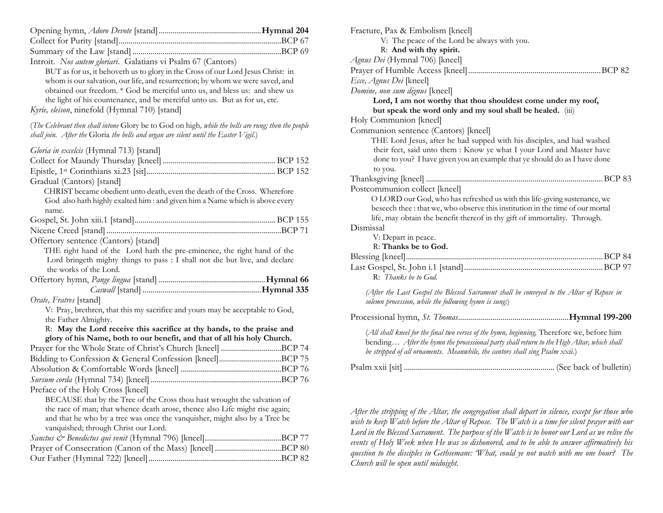| Introit. Nos autem gloriari. Galatians vi Psalm 67 (Cantors)<br>BUT as for us, it behoveth us to glory in the Cross of our Lord Jesus Christ: in<br>whom is our salvation, our life, and resurrection; by whom we were saved, and<br>obtained our freedom. * God be merciful unto us, and bless us: and shew us<br>the light of his countenance, and be merciful unto us. But as for us, etc.<br>Kyrie, eleison, ninefold (Hymnal 710) [stand] |  |
|------------------------------------------------------------------------------------------------------------------------------------------------------------------------------------------------------------------------------------------------------------------------------------------------------------------------------------------------------------------------------------------------------------------------------------------------|--|
| (The Celebrant then shall intone Glory be to God on high, while the bells are rung; then the people<br>shall join. After the Gloria the bells and organ are silent until the Easter Vigil.)                                                                                                                                                                                                                                                    |  |
| Gloria in excelcis (Hymnal 713) [stand]                                                                                                                                                                                                                                                                                                                                                                                                        |  |
| Gradual (Cantors) [stand]<br>CHRIST became obedient unto death, even the death of the Cross. Wherefore<br>God also hath highly exalted him : and given him a Name which is above every<br>name.                                                                                                                                                                                                                                                |  |
|                                                                                                                                                                                                                                                                                                                                                                                                                                                |  |
|                                                                                                                                                                                                                                                                                                                                                                                                                                                |  |
| Offertory sentence (Cantors) [stand]                                                                                                                                                                                                                                                                                                                                                                                                           |  |
| THE right hand of the Lord hath the pre-eminence, the right hand of the                                                                                                                                                                                                                                                                                                                                                                        |  |
| Lord bringeth mighty things to pass : I shall not die but live, and declare                                                                                                                                                                                                                                                                                                                                                                    |  |
| the works of the Lord.                                                                                                                                                                                                                                                                                                                                                                                                                         |  |
|                                                                                                                                                                                                                                                                                                                                                                                                                                                |  |
|                                                                                                                                                                                                                                                                                                                                                                                                                                                |  |
| <i>Orate, Fratres</i> [stand]<br>V: Pray, brethren, that this my sacrifice and yours may be acceptable to God,                                                                                                                                                                                                                                                                                                                                 |  |
| the Father Almighty.                                                                                                                                                                                                                                                                                                                                                                                                                           |  |
| R: May the Lord receive this sacrifice at thy hands, to the praise and                                                                                                                                                                                                                                                                                                                                                                         |  |
| glory of his Name, both to our benefit, and that of all his holy Church.                                                                                                                                                                                                                                                                                                                                                                       |  |
| Prayer for the Whole State of Christ's Church [kneel] BCP 74                                                                                                                                                                                                                                                                                                                                                                                   |  |
|                                                                                                                                                                                                                                                                                                                                                                                                                                                |  |
|                                                                                                                                                                                                                                                                                                                                                                                                                                                |  |
|                                                                                                                                                                                                                                                                                                                                                                                                                                                |  |
| Preface of the Holy Cross [kneel]                                                                                                                                                                                                                                                                                                                                                                                                              |  |
| BECAUSE that by the Tree of the Cross thou hast wrought the salvation of                                                                                                                                                                                                                                                                                                                                                                       |  |
| the race of man; that whence death arose, thence also Life might rise again;                                                                                                                                                                                                                                                                                                                                                                   |  |
| and that he who by a tree was once the vanquisher, might also by a Tree be                                                                                                                                                                                                                                                                                                                                                                     |  |
| vanquished; through Christ our Lord.                                                                                                                                                                                                                                                                                                                                                                                                           |  |
|                                                                                                                                                                                                                                                                                                                                                                                                                                                |  |
|                                                                                                                                                                                                                                                                                                                                                                                                                                                |  |
|                                                                                                                                                                                                                                                                                                                                                                                                                                                |  |

| Fracture, Pax & Embolism [kneel]                                                                                                                                                        |
|-----------------------------------------------------------------------------------------------------------------------------------------------------------------------------------------|
| V: The peace of the Lord be always with you.                                                                                                                                            |
| R: And with thy spirit.                                                                                                                                                                 |
| Agnus Dei (Hymnal 706) [kneel]                                                                                                                                                          |
|                                                                                                                                                                                         |
| Ecce, Agnus Dei [kneel]                                                                                                                                                                 |
| Domine, non sum dignus [kneel]                                                                                                                                                          |
| Lord, I am not worthy that thou shouldest come under my roof,                                                                                                                           |
| but speak the word only and my soul shall be healed. (iii)                                                                                                                              |
| Holy Communion [kneel]                                                                                                                                                                  |
| Communion sentence (Cantors) [kneel]                                                                                                                                                    |
| THE Lord Jesus, after he had supped with his disciples, and had washed                                                                                                                  |
| their feet, said unto them : Know ye what I your Lord and Master have                                                                                                                   |
| done to you? I have given you an example that ye should do as I have done                                                                                                               |
| to you.                                                                                                                                                                                 |
|                                                                                                                                                                                         |
| Postcommunion collect [kneel]                                                                                                                                                           |
| O LORD our God, who has refreshed us with this life-giving sustenance, we                                                                                                               |
| beseech thee : that we, who observe this institution in the time of our mortal                                                                                                          |
| life, may obtain the benefit thereof in thy gift of immortality. Through.                                                                                                               |
| Dismissal                                                                                                                                                                               |
| V: Depart in peace.                                                                                                                                                                     |
| R: Thanks be to God.                                                                                                                                                                    |
|                                                                                                                                                                                         |
|                                                                                                                                                                                         |
| R: Thanks be to God.                                                                                                                                                                    |
| (After the Last Gospel the Blessed Sacrament shall be conveyed to the Altar of Repose in                                                                                                |
| solemn procession, while the following hymn is sung.)                                                                                                                                   |
|                                                                                                                                                                                         |
|                                                                                                                                                                                         |
| (All shall kneel for the final two verses of the hymn, beginning, Therefore we, before him<br>bending After the hymn the processional party shall return to the High Altar, which shall |
| be stripped of all ornaments. Meanwhile, the cantors shall sing Psalm xxii.)                                                                                                            |
|                                                                                                                                                                                         |
|                                                                                                                                                                                         |
|                                                                                                                                                                                         |

*After the stripping of the Altar, the congregation shall depart in silence, except for those who wish to keep Watch before the Altar of Repose. The Watch is a time for silent prayer with our Lord in the Blessed Sacrament. The purpose of the Watch is to honor our Lord as we relive the events of Holy Week when He was so dishonored, and to be able to answer affirmatively his question to the disciples in Gethsemane: 'What, could ye not watch with me one hour? The Church will be open until midnight.*